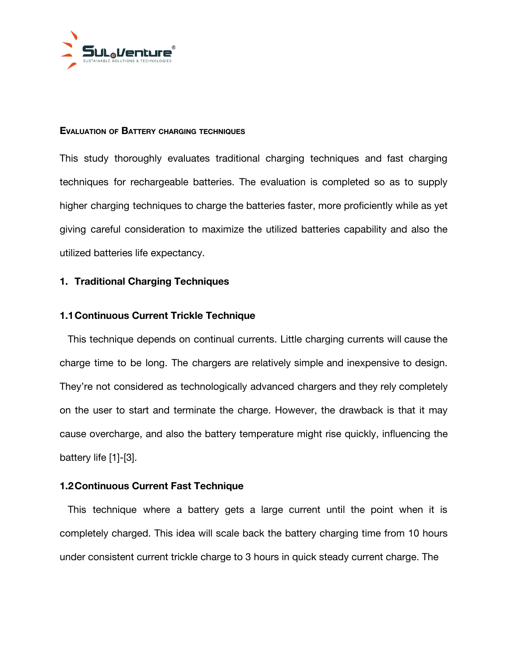

#### **EVALUATION OF BATTERY CHARGING TECHNIQUES**

This study thoroughly evaluates traditional charging techniques and fast charging techniques for rechargeable batteries. The evaluation is completed so as to supply higher charging techniques to charge the batteries faster, more proficiently while as yet giving careful consideration to maximize the utilized batteries capability and also the utilized batteries life expectancy.

#### **1. Traditional Charging Techniques**

#### **1.1Continuous Current Trickle Technique**

This technique depends on continual currents. Little charging currents will cause the charge time to be long. The chargers are relatively simple and inexpensive to design. They're not considered as technologically advanced chargers and they rely completely on the user to start and terminate the charge. However, the drawback is that it may cause overcharge, and also the battery temperature might rise quickly, influencing the battery life [1]-[3].

## **1.2Continuous Current Fast Technique**

This technique where a battery gets a large current until the point when it is completely charged. This idea will scale back the battery charging time from 10 hours under consistent current trickle charge to 3 hours in quick steady current charge. The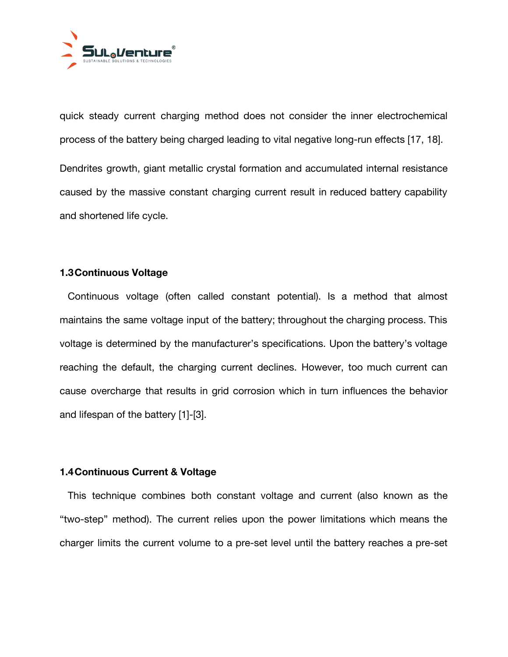

quick steady current charging method does not consider the inner electrochemical process of the battery being charged leading to vital negative long-run effects [17, 18]. Dendrites growth, giant metallic crystal formation and accumulated internal resistance caused by the massive constant charging current result in reduced battery capability and shortened life cycle.

## **1.3Continuous Voltage**

Continuous voltage (often called constant potential). Is a method that almost maintains the same voltage input of the battery; throughout the charging process. This voltage is determined by the manufacturer's specifications. Upon the battery's voltage reaching the default, the charging current declines. However, too much current can cause overcharge that results in grid corrosion which in turn influences the behavior and lifespan of the battery [1]-[3].

## **1.4Continuous Current & Voltage**

This technique combines both constant voltage and current (also known as the "two-step" method). The current relies upon the power limitations which means the charger limits the current volume to a pre-set level until the battery reaches a pre-set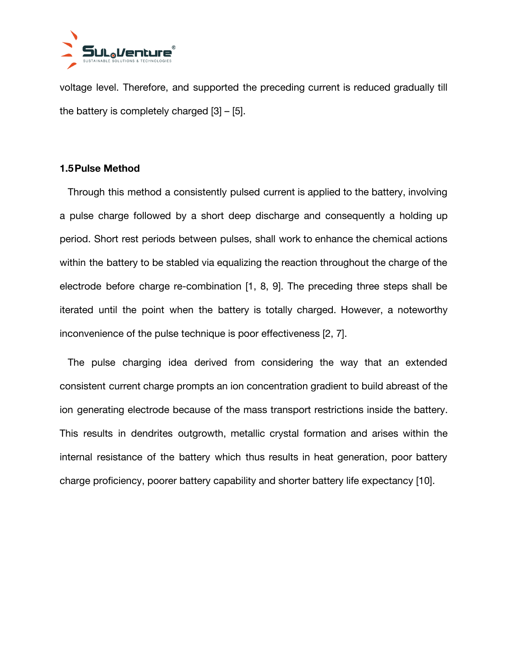

voltage level. Therefore, and supported the preceding current is reduced gradually till the battery is completely charged [3] – [5].

## **1.5Pulse Method**

Through this method a consistently pulsed current is applied to the battery, involving a pulse charge followed by a short deep discharge and consequently a holding up period. Short rest periods between pulses, shall work to enhance the chemical actions within the battery to be stabled via equalizing the reaction throughout the charge of the electrode before charge re-combination [1, 8, 9]. The preceding three steps shall be iterated until the point when the battery is totally charged. However, a noteworthy inconvenience of the pulse technique is poor effectiveness [2, 7].

The pulse charging idea derived from considering the way that an extended consistent current charge prompts an ion concentration gradient to build abreast of the ion generating electrode because of the mass transport restrictions inside the battery. This results in dendrites outgrowth, metallic crystal formation and arises within the internal resistance of the battery which thus results in heat generation, poor battery charge proficiency, poorer battery capability and shorter battery life expectancy [10].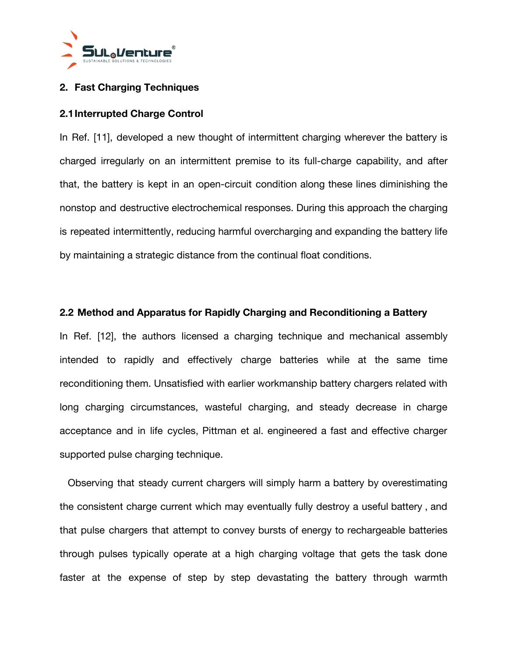

# **2. Fast Charging Techniques**

## **2.1Interrupted Charge Control**

In Ref. [11], developed a new thought of intermittent charging wherever the battery is charged irregularly on an intermittent premise to its full-charge capability, and after that, the battery is kept in an open-circuit condition along these lines diminishing the nonstop and destructive electrochemical responses. During this approach the charging is repeated intermittently, reducing harmful overcharging and expanding the battery life by maintaining a strategic distance from the continual float conditions.

## **2.2 Method and Apparatus for Rapidly Charging and Reconditioning a Battery**

In Ref. [12], the authors licensed a charging technique and mechanical assembly intended to rapidly and effectively charge batteries while at the same time reconditioning them. Unsatisfied with earlier workmanship battery chargers related with long charging circumstances, wasteful charging, and steady decrease in charge acceptance and in life cycles, Pittman et al. engineered a fast and effective charger supported pulse charging technique.

Observing that steady current chargers will simply harm a battery by overestimating the consistent charge current which may eventually fully destroy a useful battery , and that pulse chargers that attempt to convey bursts of energy to rechargeable batteries through pulses typically operate at a high charging voltage that gets the task done faster at the expense of step by step devastating the battery through warmth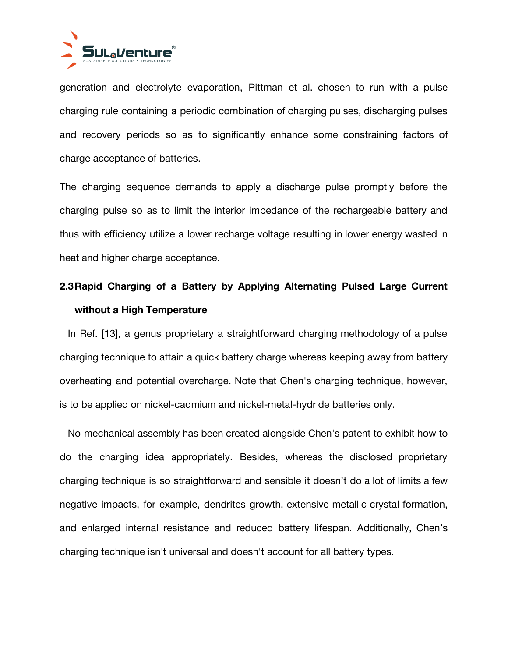

generation and electrolyte evaporation, Pittman et al. chosen to run with a pulse charging rule containing a periodic combination of charging pulses, discharging pulses and recovery periods so as to significantly enhance some constraining factors of charge acceptance of batteries.

The charging sequence demands to apply a discharge pulse promptly before the charging pulse so as to limit the interior impedance of the rechargeable battery and thus with efficiency utilize a lower recharge voltage resulting in lower energy wasted in heat and higher charge acceptance.

# **2.3Rapid Charging of a Battery by Applying Alternating Pulsed Large Current without a High Temperature**

In Ref. [13], a genus proprietary a straightforward charging methodology of a pulse charging technique to attain a quick battery charge whereas keeping away from battery overheating and potential overcharge. Note that Chen's charging technique, however, is to be applied on nickel-cadmium and nickel-metal-hydride batteries only.

No mechanical assembly has been created alongside Chen's patent to exhibit how to do the charging idea appropriately. Besides, whereas the disclosed proprietary charging technique is so straightforward and sensible it doesn't do a lot of limits a few negative impacts, for example, dendrites growth, extensive metallic crystal formation, and enlarged internal resistance and reduced battery lifespan. Additionally, Chen's charging technique isn't universal and doesn't account for all battery types.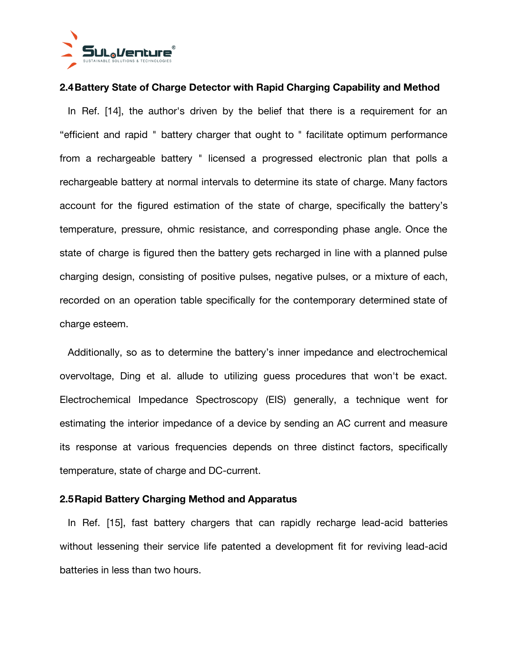

## **2.4Battery State of Charge Detector with Rapid Charging Capability and Method**

In Ref. [14], the author's driven by the belief that there is a requirement for an "efficient and rapid " battery charger that ought to " facilitate optimum performance from a rechargeable battery " licensed a progressed electronic plan that polls a rechargeable battery at normal intervals to determine its state of charge. Many factors account for the figured estimation of the state of charge, specifically the battery's temperature, pressure, ohmic resistance, and corresponding phase angle. Once the state of charge is figured then the battery gets recharged in line with a planned pulse charging design, consisting of positive pulses, negative pulses, or a mixture of each, recorded on an operation table specifically for the contemporary determined state of charge esteem.

Additionally, so as to determine the battery's inner impedance and electrochemical overvoltage, Ding et al. allude to utilizing guess procedures that won't be exact. Electrochemical Impedance Spectroscopy (EIS) generally, a technique went for estimating the interior impedance of a device by sending an AC current and measure its response at various frequencies depends on three distinct factors, specifically temperature, state of charge and DC-current.

## **2.5Rapid Battery Charging Method and Apparatus**

In Ref. [15], fast battery chargers that can rapidly recharge lead-acid batteries without lessening their service life patented a development fit for reviving lead-acid batteries in less than two hours.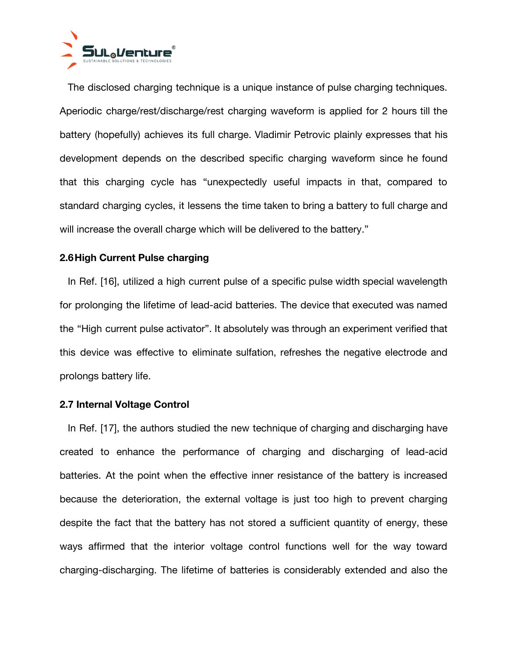

The disclosed charging technique is a unique instance of pulse charging techniques. Aperiodic charge/rest/discharge/rest charging waveform is applied for 2 hours till the battery (hopefully) achieves its full charge. Vladimir Petrovic plainly expresses that his development depends on the described specific charging waveform since he found that this charging cycle has "unexpectedly useful impacts in that, compared to standard charging cycles, it lessens the time taken to bring a battery to full charge and will increase the overall charge which will be delivered to the battery."

## **2.6High Current Pulse charging**

In Ref. [16], utilized a high current pulse of a specific pulse width special wavelength for prolonging the lifetime of lead-acid batteries. The device that executed was named the "High current pulse activator". It absolutely was through an experiment verified that this device was effective to eliminate sulfation, refreshes the negative electrode and prolongs battery life.

## **2.7 Internal Voltage Control**

In Ref. [17], the authors studied the new technique of charging and discharging have created to enhance the performance of charging and discharging of lead-acid batteries. At the point when the effective inner resistance of the battery is increased because the deterioration, the external voltage is just too high to prevent charging despite the fact that the battery has not stored a sufficient quantity of energy, these ways affirmed that the interior voltage control functions well for the way toward charging-discharging. The lifetime of batteries is considerably extended and also the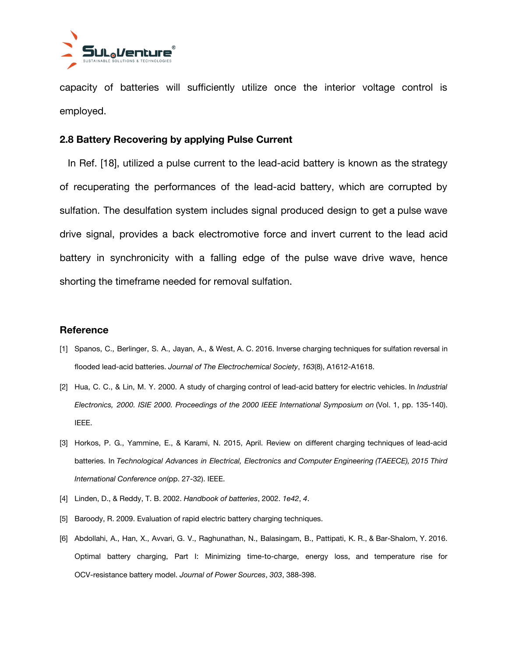

capacity of batteries will sufficiently utilize once the interior voltage control is employed.

#### **2.8 Battery Recovering by applying Pulse Current**

In Ref. [18], utilized a pulse current to the lead-acid battery is known as the strategy of recuperating the performances of the lead-acid battery, which are corrupted by sulfation. The desulfation system includes signal produced design to get a pulse wave drive signal, provides a back electromotive force and invert current to the lead acid battery in synchronicity with a falling edge of the pulse wave drive wave, hence shorting the timeframe needed for removal sulfation.

#### **Reference**

- [1] Spanos, C., Berlinger, S. A., Jayan, A., & West, A. C. 2016. Inverse charging techniques for sulfation reversal in flooded lead-acid batteries. *Journal of The Electrochemical Society*, *163*(8), A1612-A1618.
- [2] Hua, C. C., & Lin, M. Y. 2000. A study of charging control of lead-acid battery for electric vehicles. In *Industrial Electronics, 2000. ISIE 2000. Proceedings of the 2000 IEEE International Symposium on* (Vol. 1, pp. 135-140). IEEE.
- [3] Horkos, P. G., Yammine, E., & Karami, N. 2015, April. Review on different charging techniques of lead-acid batteries. In *Technological Advances in Electrical, Electronics and Computer Engineering (TAEECE), 2015 Third International Conference on*(pp. 27-32). IEEE.
- [4] Linden, D., & Reddy, T. B. 2002. *Handbook of batteries*, 2002. *1e42*, *4*.
- [5] Baroody, R. 2009. Evaluation of rapid electric battery charging techniques.
- [6] Abdollahi, A., Han, X., Avvari, G. V., Raghunathan, N., Balasingam, B., Pattipati, K. R., & Bar-Shalom, Y. 2016. Optimal battery charging, Part I: Minimizing time-to-charge, energy loss, and temperature rise for OCV-resistance battery model. *Journal of Power Sources*, *303*, 388-398.